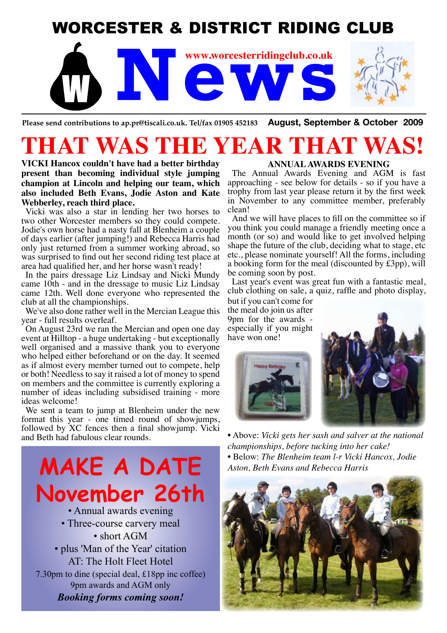# WORCESTER & DISTRICT RIDING CLUB



**Please send contributions to ap.pr@tiscali.co.uk. Tel/fax 01905 452183 August, September & October 2009**

# THAT WAS THE YEAR T

**VICKI Hancox couldn't have had a better birthday present than becoming individual style jumping champion at Lincoln and helping our team, which also included Beth Evans, Jodie Aston and Kate Webberley, reach third place.**

Vicki was also a star in lending her two horses to two other Worcester members so they could compete. Jodie's own horse had a nasty fall at Blenheim a couple of days earlier (after jumping!) and Rebecca Harris had only just returned from a summer working abroad, so was surprised to find out her second riding test place at area had qualified her, and her horse wasn't ready!

In the pairs dressage Liz Lindsay and Nicki Mundy came 10th - and in the dressage to music Liz Lindsay came 12th. Well done everyone who represented the club at all the championships.

We've also done rather well in the Mercian League this year - full results overleaf.

On August 23rd we ran the Mercian and open one day event at Hilltop - a huge undertaking - but exceptionally well organised and a massive thank you to everyone who helped either beforehand or on the day. It seemed as if almost every member turned out to compete, help or both! Needless to say it raised a lot of money to spend on members and the committee is currently exploring a number of ideas including subsidised training - more ideas welcome!

We sent a team to jump at Blenheim under the new format this year - one timed round of showjumps, followed by XC fences then a final showjump. Vicki and Beth had fabulous clear rounds.

**MAKE A DATE November 26th** • Annual awards evening • Three-course carvery meal • short AGM • plus 'Man of the Year' citation AT: The Holt Fleet Hotel 7.30pm to dine (special deal, £18pp inc coffee)

9pm awards and AGM only *Booking forms coming soon!*

#### **ANNUAL AWARDS EVENING**

The Annual Awards Evening and AGM is fast approaching - see below for details - so if you have a trophy from last year please return it by the first week in November to any committee member, preferably clean!

And we will have places to fill on the committee so if you think you could manage a friendly meeting once a month (or so) and would like to get involved helping shape the future of the club, deciding what to stage, etc etc., please nominate yourself! All the forms, including a booking form for the meal (discounted by £3pp), will be coming soon by post.

Last year's event was great fun with a fantastic meal, club clothing on sale, a quiz, raffle and photo display,

but if you can't come for the meal do join us after 9pm for the awards especially if you might have won one!





• Above: *Vicki gets her sash and salver at the national championships, before tucking into her cake!* • Below: *The Blenheim team l-r Vicki Hancox, Jodie Aston, Beth Evans and Rebecca Harris*